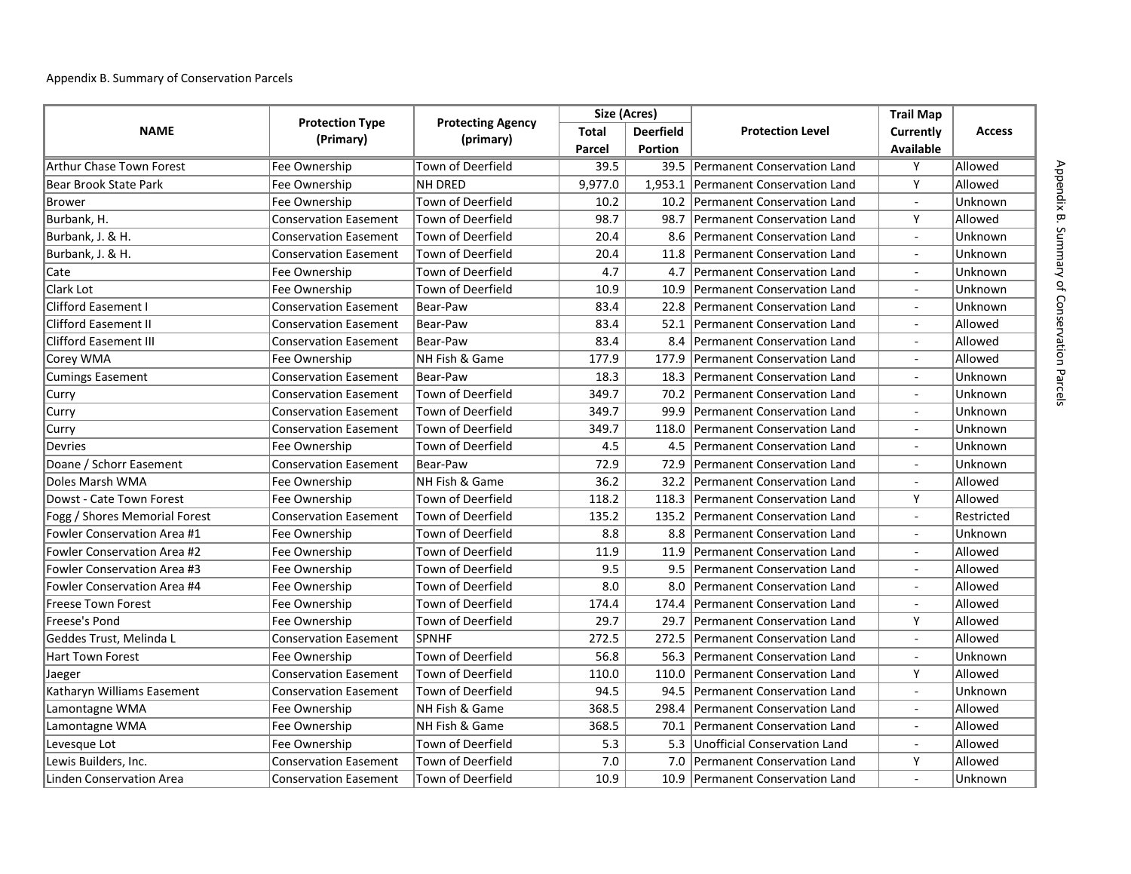## Appendix B. Summary of Conservation Parcels

| <b>NAME</b>                        |                              | <b>Protecting Agency</b><br>(primary) | Size (Acres) |                  |                                     | <b>Trail Map</b>         |               |
|------------------------------------|------------------------------|---------------------------------------|--------------|------------------|-------------------------------------|--------------------------|---------------|
|                                    | <b>Protection Type</b>       |                                       | <b>Total</b> | <b>Deerfield</b> | <b>Protection Level</b>             | Currently                | <b>Access</b> |
|                                    | (Primary)                    |                                       | Parcel       | <b>Portion</b>   |                                     | Available                |               |
| Arthur Chase Town Forest           | Fee Ownership                | Town of Deerfield                     | 39.5         |                  | 39.5 Permanent Conservation Land    | Y                        | Allowed       |
| Bear Brook State Park              | Fee Ownership                | <b>NH DRED</b>                        | 9,977.0      |                  | 1,953.1 Permanent Conservation Land | Y                        | Allowed       |
| <b>Brower</b>                      | Fee Ownership                | Town of Deerfield                     | 10.2         | 10.2             | Permanent Conservation Land         | $\overline{a}$           | Unknown       |
| Burbank, H.                        | Conservation Easement        | Town of Deerfield                     | 98.7         | 98.7             | Permanent Conservation Land         | Y                        | Allowed       |
| Burbank, J. & H.                   | <b>Conservation Easement</b> | Town of Deerfield                     | 20.4         | 8.6              | Permanent Conservation Land         | $\bar{\phantom{a}}$      | Unknown       |
| Burbank, J. & H.                   | <b>Conservation Easement</b> | <b>Town of Deerfield</b>              | 20.4         | 11.8             | Permanent Conservation Land         | $\blacksquare$           | Unknown       |
| Cate                               | Fee Ownership                | <b>Town of Deerfield</b>              | 4.7          | 4.7              | Permanent Conservation Land         | $\blacksquare$           | Unknown       |
| Clark Lot                          | Fee Ownership                | Town of Deerfield                     | 10.9         | 10.9             | Permanent Conservation Land         | $\overline{\phantom{a}}$ | Unknown       |
| <b>Clifford Easement I</b>         | <b>Conservation Easement</b> | Bear-Paw                              | 83.4         | 22.8             | <b>Permanent Conservation Land</b>  |                          | Unknown       |
| <b>Clifford Easement II</b>        | <b>Conservation Easement</b> | Bear-Paw                              | 83.4         | 52.1             | Permanent Conservation Land         | $\overline{a}$           | Allowed       |
| <b>Clifford Easement III</b>       | <b>Conservation Easement</b> | Bear-Paw                              | 83.4         | 8.4              | Permanent Conservation Land         |                          | Allowed       |
| Corey WMA                          | Fee Ownership                | NH Fish & Game                        | 177.9        | 177.9            | Permanent Conservation Land         |                          | Allowed       |
| <b>Cumings Easement</b>            | <b>Conservation Easement</b> | Bear-Paw                              | 18.3         | 18.3             | Permanent Conservation Land         |                          | Unknown       |
| Curry                              | <b>Conservation Easement</b> | <b>Town of Deerfield</b>              | 349.7        | 70.2             | Permanent Conservation Land         |                          | Unknown       |
| Curry                              | <b>Conservation Easement</b> | Town of Deerfield                     | 349.7        | 99.9             | Permanent Conservation Land         | $\overline{a}$           | Unknown       |
| Curry                              | <b>Conservation Easement</b> | Town of Deerfield                     | 349.7        | 118.0            | Permanent Conservation Land         | $\mathbf{r}$             | Unknown       |
| <b>Devries</b>                     | Fee Ownership                | <b>Town of Deerfield</b>              | 4.5          | 4.5              | Permanent Conservation Land         | $\blacksquare$           | Unknown       |
| Doane / Schorr Easement            | <b>Conservation Easement</b> | Bear-Paw                              | 72.9         | 72.9             | Permanent Conservation Land         | $\blacksquare$           | Unknown       |
| Doles Marsh WMA                    | Fee Ownership                | NH Fish & Game                        | 36.2         | 32.2             | <b>Permanent Conservation Land</b>  | $\overline{\phantom{a}}$ | Allowed       |
| Dowst - Cate Town Forest           | Fee Ownership                | Town of Deerfield                     | 118.2        | 118.3            | <b>Permanent Conservation Land</b>  | Y                        | Allowed       |
| Fogg / Shores Memorial Forest      | <b>Conservation Easement</b> | Town of Deerfield                     | 135.2        | 135.2            | Permanent Conservation Land         | $\overline{a}$           | Restricted    |
| <b>Fowler Conservation Area #1</b> | Fee Ownership                | Town of Deerfield                     | 8.8          | 8.8              | Permanent Conservation Land         | $\overline{a}$           | Unknown       |
| <b>Fowler Conservation Area #2</b> | Fee Ownership                | Town of Deerfield                     | 11.9         | 11.9             | Permanent Conservation Land         |                          | Allowed       |
| Fowler Conservation Area #3        | Fee Ownership                | Town of Deerfield                     | 9.5          | 9.5              | Permanent Conservation Land         | $\overline{a}$           | Allowed       |
| <b>Fowler Conservation Area #4</b> | Fee Ownership                | <b>Town of Deerfield</b>              | 8.0          | 8.0              | <b>Permanent Conservation Land</b>  | ÷,                       | Allowed       |
| <b>Freese Town Forest</b>          | Fee Ownership                | Town of Deerfield                     | 174.4        | 174.4            | Permanent Conservation Land         | $\blacksquare$           | Allowed       |
| Freese's Pond                      | Fee Ownership                | Town of Deerfield                     | 29.7         | 29.7             | Permanent Conservation Land         | Y                        | Allowed       |
| Geddes Trust, Melinda L            | <b>Conservation Easement</b> | <b>SPNHF</b>                          | 272.5        | 272.5            | Permanent Conservation Land         | $\blacksquare$           | Allowed       |
| Hart Town Forest                   | Fee Ownership                | Town of Deerfield                     | 56.8         | 56.3             | Permanent Conservation Land         | $\bar{\phantom{a}}$      | Unknown       |
| Jaeger                             | <b>Conservation Easement</b> | <b>Town of Deerfield</b>              | 110.0        | 110.0            | Permanent Conservation Land         | Y                        | Allowed       |
| Katharyn Williams Easement         | <b>Conservation Easement</b> | <b>Town of Deerfield</b>              | 94.5         | 94.5             | <b>Permanent Conservation Land</b>  | $\blacksquare$           | Unknown       |
| Lamontagne WMA                     | Fee Ownership                | NH Fish & Game                        | 368.5        | 298.4            | <b>Permanent Conservation Land</b>  |                          | Allowed       |
| Lamontagne WMA                     | Fee Ownership                | NH Fish & Game                        | 368.5        | 70.1             | Permanent Conservation Land         |                          | Allowed       |
| Levesque Lot                       | Fee Ownership                | Town of Deerfield                     | 5.3          | 5.3              | Unofficial Conservation Land        | $\overline{\phantom{a}}$ | Allowed       |
| Lewis Builders, Inc.               | <b>Conservation Easement</b> | <b>Town of Deerfield</b>              | 7.0          | 7.0              | <b>Permanent Conservation Land</b>  | Y                        | Allowed       |
| Linden Conservation Area           | <b>Conservation Easement</b> | <b>Town of Deerfield</b>              | 10.9         |                  | 10.9 Permanent Conservation Land    |                          | Unknown       |